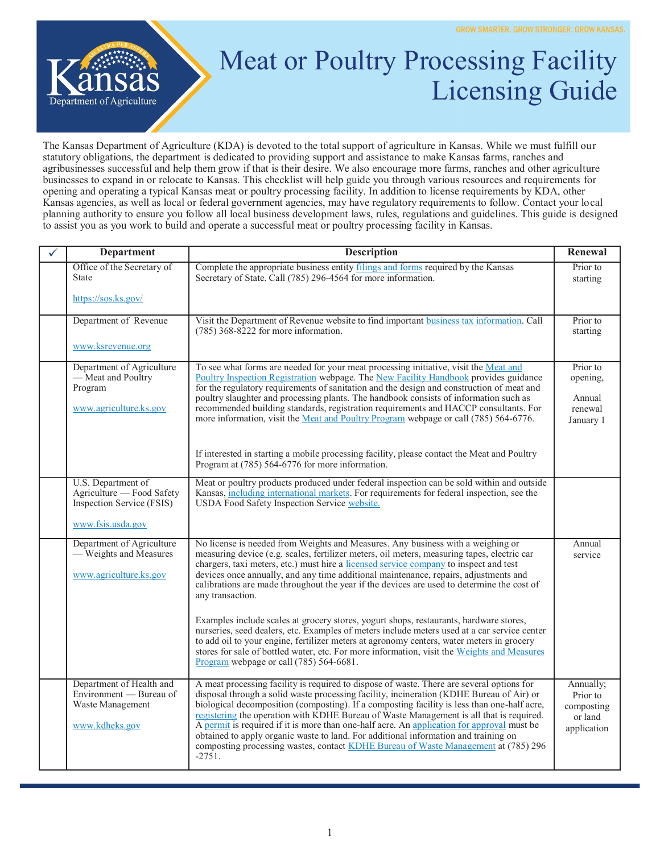

## Meat or Poultry Processing Facility Licensing Guide

The Kansas Department of Agriculture (KDA) is devoted to the total support of agriculture in Kansas. While we must fulfill our statutory obligations, the department is dedicated to providing support and assistance to make Kansas farms, ranches and agribusinesses successful and help them grow if that is their desire. We also encourage more farms, ranches and other agriculture businesses to expand in or relocate to Kansas. This checklist will help guide you through various resources and requirements for opening and operating a typical Kansas meat or poultry processing facility. In addition to license requirements by KDA, other Kansas agencies, as well as local or federal government agencies, may have regulatory requirements to follow. Contact your local planning authority to ensure you follow all local business development laws, rules, regulations and guidelines. This guide is designed to assist you as you work to build and operate a successful meat or poultry processing facility in Kansas.

| <b>Department</b>                                                                                 | <b>Description</b>                                                                                                                                                                                                                                                                                                                                                                                                                                                                                                                                                                                                                                                                                                                                                                                                                                                                                                 | Renewal                                                       |
|---------------------------------------------------------------------------------------------------|--------------------------------------------------------------------------------------------------------------------------------------------------------------------------------------------------------------------------------------------------------------------------------------------------------------------------------------------------------------------------------------------------------------------------------------------------------------------------------------------------------------------------------------------------------------------------------------------------------------------------------------------------------------------------------------------------------------------------------------------------------------------------------------------------------------------------------------------------------------------------------------------------------------------|---------------------------------------------------------------|
| Office of the Secretary of<br><b>State</b>                                                        | Complete the appropriate business entity filings and forms required by the Kansas<br>Secretary of State. Call (785) 296-4564 for more information.                                                                                                                                                                                                                                                                                                                                                                                                                                                                                                                                                                                                                                                                                                                                                                 | Prior to<br>starting                                          |
| https://sos.ks.gov/                                                                               |                                                                                                                                                                                                                                                                                                                                                                                                                                                                                                                                                                                                                                                                                                                                                                                                                                                                                                                    |                                                               |
| Department of Revenue                                                                             | Visit the Department of Revenue website to find important business tax information. Call<br>$(785)$ 368-8222 for more information.                                                                                                                                                                                                                                                                                                                                                                                                                                                                                                                                                                                                                                                                                                                                                                                 | Prior to<br>starting                                          |
| www.ksrevenue.org                                                                                 |                                                                                                                                                                                                                                                                                                                                                                                                                                                                                                                                                                                                                                                                                                                                                                                                                                                                                                                    |                                                               |
| Department of Agriculture<br>— Meat and Poultry<br>Program<br>www.agriculture.ks.gov              | To see what forms are needed for your meat processing initiative, visit the Meat and<br>Poultry Inspection Registration webpage. The New Facility Handbook provides guidance<br>for the regulatory requirements of sanitation and the design and construction of meat and<br>poultry slaughter and processing plants. The handbook consists of information such as<br>recommended building standards, registration requirements and HACCP consultants. For<br>more information, visit the Meat and Poultry Program webpage or call (785) 564-6776.                                                                                                                                                                                                                                                                                                                                                                 | Prior to<br>opening,<br>Annual<br>renewal<br>January 1        |
|                                                                                                   | If interested in starting a mobile processing facility, please contact the Meat and Poultry<br>Program at (785) 564-6776 for more information.                                                                                                                                                                                                                                                                                                                                                                                                                                                                                                                                                                                                                                                                                                                                                                     |                                                               |
| U.S. Department of<br>Agriculture — Food Safety<br>Inspection Service (FSIS)<br>www.fsis.usda.gov | Meat or poultry products produced under federal inspection can be sold within and outside<br>Kansas, including international markets. For requirements for federal inspection, see the<br>USDA Food Safety Inspection Service website.                                                                                                                                                                                                                                                                                                                                                                                                                                                                                                                                                                                                                                                                             |                                                               |
| Department of Agriculture<br>- Weights and Measures<br>www.agriculture.ks.gov                     | No license is needed from Weights and Measures. Any business with a weighing or<br>measuring device (e.g. scales, fertilizer meters, oil meters, measuring tapes, electric car<br>chargers, taxi meters, etc.) must hire a licensed service company to inspect and test<br>devices once annually, and any time additional maintenance, repairs, adjustments and<br>calibrations are made throughout the year if the devices are used to determine the cost of<br>any transaction.<br>Examples include scales at grocery stores, yogurt shops, restaurants, hardware stores,<br>nurseries, seed dealers, etc. Examples of meters include meters used at a car service center<br>to add oil to your engine, fertilizer meters at agronomy centers, water meters in grocery<br>stores for sale of bottled water, etc. For more information, visit the Weights and Measures<br>Program webpage or call (785) 564-6681. | Annual<br>service                                             |
| Department of Health and<br>Environment - Bureau of<br>Waste Management<br>www.kdheks.gov         | A meat processing facility is required to dispose of waste. There are several options for<br>disposal through a solid waste processing facility, incineration (KDHE Bureau of Air) or<br>biological decomposition (composting). If a composting facility is less than one-half acre,<br>registering the operation with KDHE Bureau of Waste Management is all that is required.<br>A permit is required if it is more than one-half acre. An application for approval must be<br>obtained to apply organic waste to land. For additional information and training on<br>composting processing wastes, contact KDHE Bureau of Waste Management at (785) 296<br>$-2751.$                                                                                                                                                                                                                                             | Annually;<br>Prior to<br>composting<br>or land<br>application |